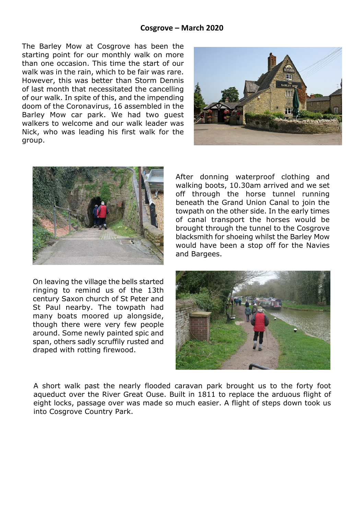## **Cosgrove – March 2020**

The Barley Mow at Cosgrove has been the starting point for our monthly walk on more than one occasion. This time the start of our walk was in the rain, which to be fair was rare. However, this was better than Storm Dennis of last month that necessitated the cancelling of our walk. In spite of this, and the impending doom of the Coronavirus, 16 assembled in the Barley Mow car park. We had two guest walkers to welcome and our walk leader was Nick, who was leading his first walk for the group.





On leaving the village the bells started ringing to remind us of the 13th century Saxon church of St Peter and St Paul nearby. The towpath had many boats moored up alongside, though there were very few people around. Some newly painted spic and span, others sadly scruffily rusted and draped with rotting firewood.

After donning waterproof clothing and walking boots, 10.30am arrived and we set off through the horse tunnel running beneath the Grand Union Canal to join the towpath on the other side. In the early times of canal transport the horses would be brought through the tunnel to the Cosgrove blacksmith for shoeing whilst the Barley Mow would have been a stop off for the Navies and Bargees.



A short walk past the nearly flooded caravan park brought us to the forty foot aqueduct over the River Great Ouse. Built in 1811 to replace the arduous flight of eight locks, passage over was made so much easier. A flight of steps down took us into Cosgrove Country Park.